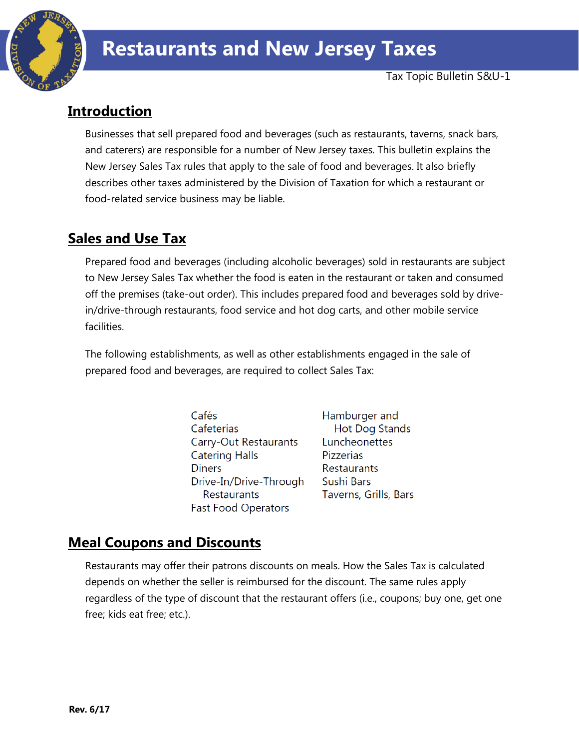

# **Introduction**

Businesses that sell prepared food and beverages (such as restaurants, taverns, snack bars, and caterers) are responsible for a number of New Jersey taxes. This bulletin explains the New Jersey Sales Tax rules that apply to the sale of food and beverages. It also briefly describes other taxes administered by the Division of Taxation for which a restaurant or food-related service business may be liable.

# **Sales and Use Tax**

Prepared food and beverages (including alcoholic beverages) sold in restaurants are subject to New Jersey Sales Tax whether the food is eaten in the restaurant or taken and consumed off the premises (take-out order). This includes prepared food and beverages sold by drivein/drive-through restaurants, food service and hot dog carts, and other mobile service facilities.

The following establishments, as well as other establishments engaged in the sale of prepared food and beverages, are required to collect Sales Tax:

> Cafés Cafeterias Carry-Out Restaurants **Catering Halls Diners** Drive-In/Drive-Through **Restaurants Fast Food Operators**

Hamburger and Hot Dog Stands Luncheonettes **Pizzerias Restaurants** Sushi Bars Taverns, Grills, Bars

# **Meal Coupons and Discounts**

Restaurants may offer their patrons discounts on meals. How the Sales Tax is calculated depends on whether the seller is reimbursed for the discount. The same rules apply regardless of the type of discount that the restaurant offers (i.e., coupons; buy one, get one free; kids eat free; etc.).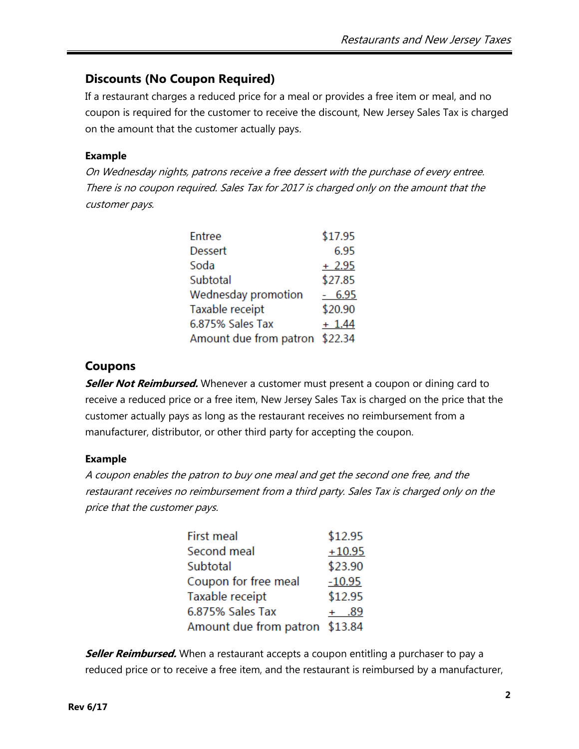### **Discounts (No Coupon Required)**

If a restaurant charges a reduced price for a meal or provides a free item or meal, and no coupon is required for the customer to receive the discount, New Jersey Sales Tax is charged on the amount that the customer actually pays.

#### **Example**

On Wednesday nights, patrons receive a free dessert with the purchase of every entree. There is no coupon required. Sales Tax for 2017 is charged only on the amount that the customer pays.

| Entree                         | \$17.95  |
|--------------------------------|----------|
| <b>Dessert</b>                 | 6.95     |
| Soda                           | $+2.95$  |
| Subtotal                       | \$27.85  |
| Wednesday promotion            | $-6.95$  |
| Taxable receipt                | \$20.90  |
| 6.875% Sales Tax               | $+ 1.44$ |
| Amount due from patron \$22.34 |          |

#### **Coupons**

**Seller Not Reimbursed.** Whenever a customer must present a coupon or dining card to receive a reduced price or a free item, New Jersey Sales Tax is charged on the price that the customer actually pays as long as the restaurant receives no reimbursement from a manufacturer, distributor, or other third party for accepting the coupon.

#### **Example**

A coupon enables the patron to buy one meal and get the second one free, and the restaurant receives no reimbursement from a third party. Sales Tax is charged only on the price that the customer pays.

| First meal                     | \$12.95  |
|--------------------------------|----------|
| Second meal                    | $+10.95$ |
| Subtotal                       | \$23.90  |
| Coupon for free meal           | $-10.95$ |
| Taxable receipt                | \$12.95  |
| 6.875% Sales Tax               | + .89    |
| Amount due from patron \$13.84 |          |

**Seller Reimbursed.** When a restaurant accepts a coupon entitling a purchaser to pay a reduced price or to receive a free item, and the restaurant is reimbursed by a manufacturer,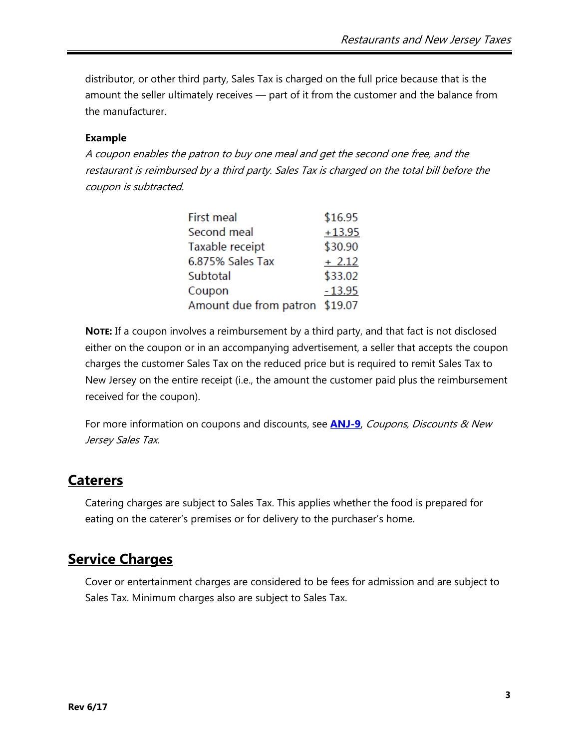distributor, or other third party, Sales Tax is charged on the full price because that is the amount the seller ultimately receives — part of it from the customer and the balance from the manufacturer.

#### **Example**

A coupon enables the patron to buy one meal and get the second one free, and the restaurant is reimbursed by a third party. Sales Tax is charged on the total bill before the coupon is subtracted.

| First meal                     | \$16.95  |
|--------------------------------|----------|
| Second meal                    | $+13.95$ |
| Taxable receipt                | \$30.90  |
| 6.875% Sales Tax               | $+2.12$  |
| Subtotal                       | \$33.02  |
| Coupon                         | $-13.95$ |
| Amount due from patron \$19.07 |          |

**NOTE:** If a coupon involves a reimbursement by a third party, and that fact is not disclosed either on the coupon or in an accompanying advertisement, a seller that accepts the coupon charges the customer Sales Tax on the reduced price but is required to remit Sales Tax to New Jersey on the entire receipt (i.e., the amount the customer paid plus the reimbursement received for the coupon).

For more information on coupons and discounts, see **[ANJ-9](http://www.state.nj.us/treasury/taxation/pdf/pubs/sales/anj9.pdf)**, Coupons, Discounts & New Jersey Sales Tax.

## **Caterers**

Catering charges are subject to Sales Tax. This applies whether the food is prepared for eating on the caterer's premises or for delivery to the purchaser's home.

## **Service Charges**

Cover or entertainment charges are considered to be fees for admission and are subject to Sales Tax. Minimum charges also are subject to Sales Tax.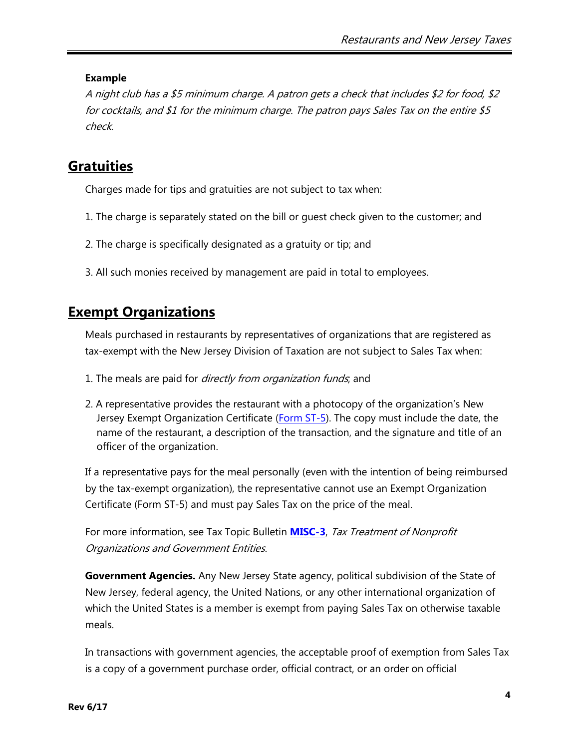#### **Example**

A night club has a \$5 minimum charge. A patron gets a check that includes \$2 for food, \$2 for cocktails, and \$1 for the minimum charge. The patron pays Sales Tax on the entire \$5 check.

## **Gratuities**

Charges made for tips and gratuities are not subject to tax when:

- 1. The charge is separately stated on the bill or guest check given to the customer; and
- 2. The charge is specifically designated as a gratuity or tip; and
- 3. All such monies received by management are paid in total to employees.

## **Exempt Organizations**

Meals purchased in restaurants by representatives of organizations that are registered as tax-exempt with the New Jersey Division of Taxation are not subject to Sales Tax when:

- 1. The meals are paid for *directly from organization funds*, and
- 2. A representative provides the restaurant with a photocopy of the organization's New Jersey Exempt Organization Certificate [\(Form ST-5\)](http://www.state.nj.us/treasury/taxation/pdf/pubs/sales/st5.pdf). The copy must include the date, the name of the restaurant, a description of the transaction, and the signature and title of an officer of the organization.

If a representative pays for the meal personally (even with the intention of being reimbursed by the tax-exempt organization), the representative cannot use an Exempt Organization Certificate (Form ST-5) and must pay Sales Tax on the price of the meal.

For more information, see Tax Topic Bulletin **[MISC-3](http://www.state.nj.us/treasury/taxation/pdf/pubs/misc3.pdf)**, Tax Treatment of Nonprofit Organizations and Government Entities.

**Government Agencies.** Any New Jersey State agency, political subdivision of the State of New Jersey, federal agency, the United Nations, or any other international organization of which the United States is a member is exempt from paying Sales Tax on otherwise taxable meals.

In transactions with government agencies, the acceptable proof of exemption from Sales Tax is a copy of a government purchase order, official contract, or an order on official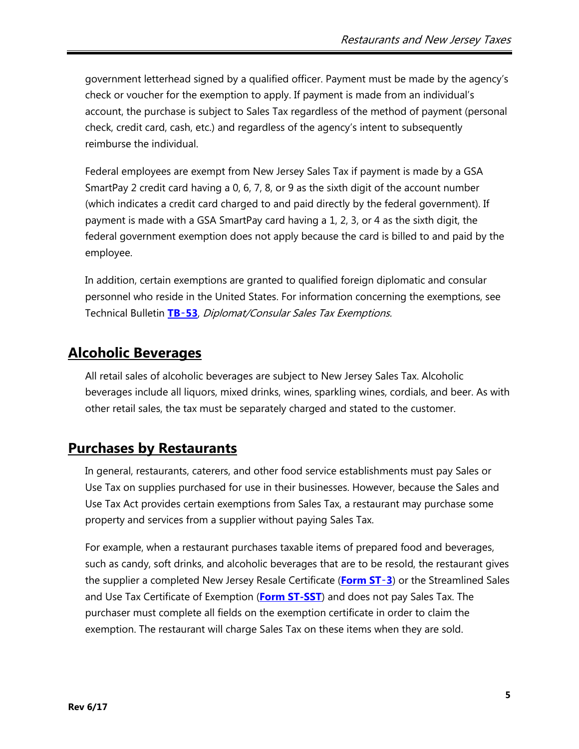government letterhead signed by a qualified officer. Payment must be made by the agency's check or voucher for the exemption to apply. If payment is made from an individual's account, the purchase is subject to Sales Tax regardless of the method of payment (personal check, credit card, cash, etc.) and regardless of the agency's intent to subsequently reimburse the individual.

Federal employees are exempt from New Jersey Sales Tax if payment is made by a GSA SmartPay 2 credit card having a 0, 6, 7, 8, or 9 as the sixth digit of the account number (which indicates a credit card charged to and paid directly by the federal government). If payment is made with a GSA SmartPay card having a 1, 2, 3, or 4 as the sixth digit, the federal government exemption does not apply because the card is billed to and paid by the employee.

In addition, certain exemptions are granted to qualified foreign diplomatic and consular personnel who reside in the United States. For information concerning the exemptions, see Technical Bulletin **[TB](http://www.state.nj.us/treasury/taxation/pdf/pubs/tb/tb53.pdf)**‑**53**, Diplomat/Consular Sales Tax Exemptions.

## **Alcoholic Beverages**

All retail sales of alcoholic beverages are subject to New Jersey Sales Tax. Alcoholic beverages include all liquors, mixed drinks, wines, sparkling wines, cordials, and beer. As with other retail sales, the tax must be separately charged and stated to the customer.

## **Purchases by Restaurants**

In general, restaurants, caterers, and other food service establishments must pay Sales or Use Tax on supplies purchased for use in their businesses. However, because the Sales and Use Tax Act provides certain exemptions from Sales Tax, a restaurant may purchase some property and services from a supplier without paying Sales Tax.

For example, when a restaurant purchases taxable items of prepared food and beverages, such as candy, soft drinks, and alcoholic beverages that are to be resold, the restaurant gives the supplier a completed New Jersey Resale Certificate (**[Form ST](http://www.state.nj.us/treasury/taxation/pdf/other_forms/sales/st3.pdf)**‑**3**) or the Streamlined Sales and Use Tax Certificate of Exemption (**[Form ST-SST](http://www.state.nj.us/treasury/taxation/pdf/other_forms/sales/st_sst.pdf)**) and does not pay Sales Tax. The purchaser must complete all fields on the exemption certificate in order to claim the exemption. The restaurant will charge Sales Tax on these items when they are sold.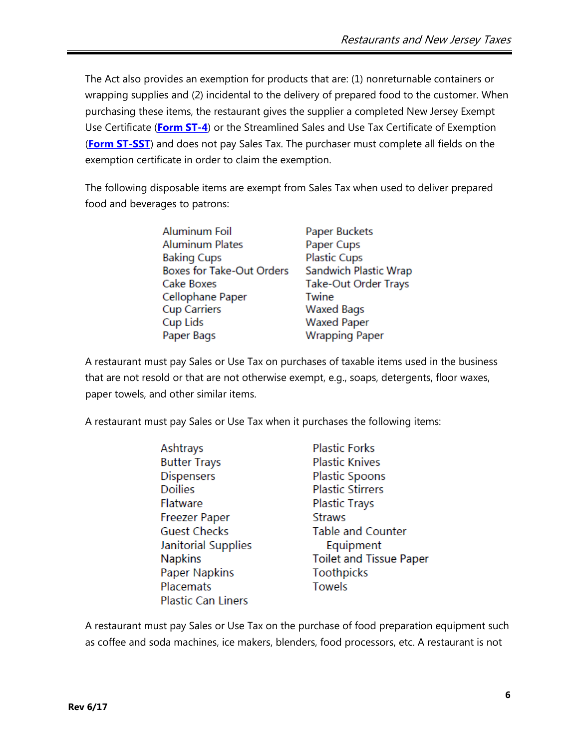The Act also provides an exemption for products that are: (1) nonreturnable containers or wrapping supplies and (2) incidental to the delivery of prepared food to the customer. When purchasing these items, the restaurant gives the supplier a completed New Jersey Exempt Use Certificate (**[Form ST-4](http://www.state.nj.us/treasury/taxation/pdf/other_forms/sales/st4.pdf)**) or the Streamlined Sales and Use Tax Certificate of Exemption (**[Form ST-SST](http://www.state.nj.us/treasury/taxation/pdf/other_forms/sales/st_sst.pdf)**) and does not pay Sales Tax. The purchaser must complete all fields on the exemption certificate in order to claim the exemption.

The following disposable items are exempt from Sales Tax when used to deliver prepared food and beverages to patrons:

| <b>Aluminum Foil</b>             | Paper Buckets         |
|----------------------------------|-----------------------|
| <b>Aluminum Plates</b>           | Paper Cups            |
| <b>Baking Cups</b>               | <b>Plastic Cups</b>   |
| <b>Boxes for Take-Out Orders</b> | Sandwich Plastic Wrap |
| Cake Boxes                       | Take-Out Order Trays  |
| Cellophane Paper                 | Twine                 |
| <b>Cup Carriers</b>              | <b>Waxed Bags</b>     |
| Cup Lids                         | <b>Waxed Paper</b>    |
| Paper Bags                       | <b>Wrapping Paper</b> |
|                                  |                       |

A restaurant must pay Sales or Use Tax on purchases of taxable items used in the business that are not resold or that are not otherwise exempt, e.g., soaps, detergents, floor waxes, paper towels, and other similar items.

A restaurant must pay Sales or Use Tax when it purchases the following items:

| Ashtrays                  | <b>Plastic Forks</b>           |
|---------------------------|--------------------------------|
| <b>Butter Trays</b>       | <b>Plastic Knives</b>          |
| <b>Dispensers</b>         | <b>Plastic Spoons</b>          |
| <b>Doilies</b>            | <b>Plastic Stirrers</b>        |
| <b>Flatware</b>           | <b>Plastic Trays</b>           |
| <b>Freezer Paper</b>      | <b>Straws</b>                  |
| <b>Guest Checks</b>       | <b>Table and Counter</b>       |
| Janitorial Supplies       | Equipment                      |
| <b>Napkins</b>            | <b>Toilet and Tissue Paper</b> |
| <b>Paper Napkins</b>      | <b>Toothpicks</b>              |
| Placemats                 | Towels                         |
| <b>Plastic Can Liners</b> |                                |

A restaurant must pay Sales or Use Tax on the purchase of food preparation equipment such as coffee and soda machines, ice makers, blenders, food processors, etc. A restaurant is not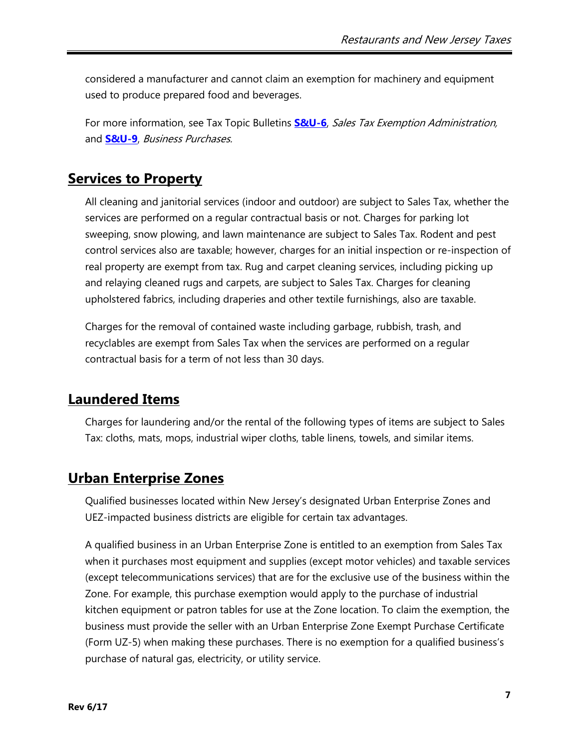considered a manufacturer and cannot claim an exemption for machinery and equipment used to produce prepared food and beverages.

For more information, see Tax Topic Bulletins **[S&U-6](http://www.state.nj.us/treasury/taxation/pdf/pubs/sales/su6.pdf)**, Sales Tax Exemption Administration, and **[S&U-9](http://www.state.nj.us/treasury/taxation/pdf/pubs/sales/su9.pdf)**, Business Purchases.

## **Services to Property**

All cleaning and janitorial services (indoor and outdoor) are subject to Sales Tax, whether the services are performed on a regular contractual basis or not. Charges for parking lot sweeping, snow plowing, and lawn maintenance are subject to Sales Tax. Rodent and pest control services also are taxable; however, charges for an initial inspection or re-inspection of real property are exempt from tax. Rug and carpet cleaning services, including picking up and relaying cleaned rugs and carpets, are subject to Sales Tax. Charges for cleaning upholstered fabrics, including draperies and other textile furnishings, also are taxable.

Charges for the removal of contained waste including garbage, rubbish, trash, and recyclables are exempt from Sales Tax when the services are performed on a regular contractual basis for a term of not less than 30 days.

## **Laundered Items**

Charges for laundering and/or the rental of the following types of items are subject to Sales Tax: cloths, mats, mops, industrial wiper cloths, table linens, towels, and similar items.

## **Urban Enterprise Zones**

Qualified businesses located within New Jersey's designated Urban Enterprise Zones and UEZ-impacted business districts are eligible for certain tax advantages.

A qualified business in an Urban Enterprise Zone is entitled to an exemption from Sales Tax when it purchases most equipment and supplies (except motor vehicles) and taxable services (except telecommunications services) that are for the exclusive use of the business within the Zone. For example, this purchase exemption would apply to the purchase of industrial kitchen equipment or patron tables for use at the Zone location. To claim the exemption, the business must provide the seller with an Urban Enterprise Zone Exempt Purchase Certificate (Form UZ-5) when making these purchases. There is no exemption for a qualified business's purchase of natural gas, electricity, or utility service.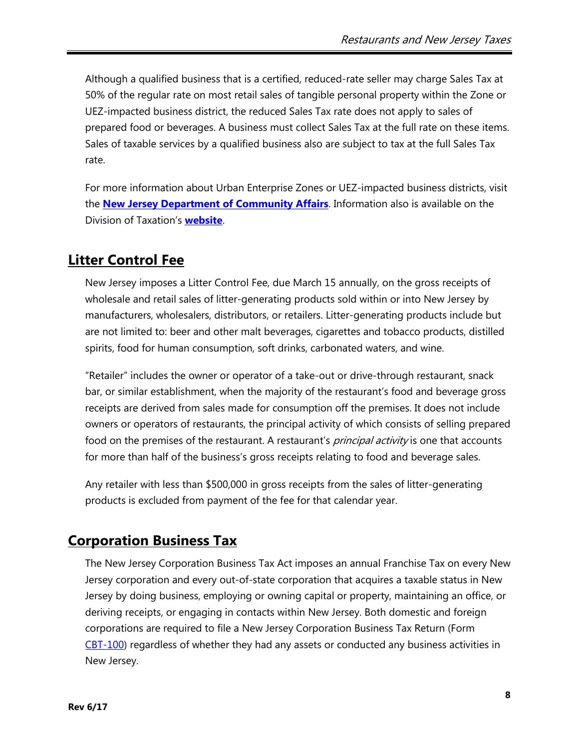Although a qualified business that is a certified, reduced-rate seller may charge Sales Tax at 50% of the regular rate on most retail sales of tangible personal property within the Zone or UEZ-impacted business district, the reduced Sales Tax rate does not apply to sales of prepared food or beverages. A business must collect Sales Tax at the full rate on these items. Sales of taxable services by a qualified business also are subject to tax at the full Sales Tax rate.

For more information about Urban Enterprise Zones or UEZ-impacted business districts, visit the **[New Jersey Department of Community Affairs](http://www.nj.gov/dca/affiliates/uez/)**. Information also is available on the Division of Taxation's **[website](http://www.state.nj.us/treasury/taxation/uez_pubs.shtml)**.

## **Litter Control Fee**

New Jersey imposes a Litter Control Fee, due March 15 annually, on the gross receipts of wholesale and retail sales of litter-generating products sold within or into New Jersey by manufacturers, wholesalers, distributors, or retailers. Litter-generating products include but are not limited to: beer and other malt beverages, cigarettes and tobacco products, distilled spirits, food for human consumption, soft drinks, carbonated waters, and wine.

"Retailer" includes the owner or operator of a take-out or drive-through restaurant, snack bar, or similar establishment, when the majority of the restaurant's food and beverage gross receipts are derived from sales made for consumption off the premises. It does not include owners or operators of restaurants, the principal activity of which consists of selling prepared food on the premises of the restaurant. A restaurant's *principal activity* is one that accounts for more than half of the business's gross receipts relating to food and beverage sales.

Any retailer with less than \$500,000 in gross receipts from the sales of litter-generating products is excluded from payment of the fee for that calendar year.

## **Corporation Business Tax**

The New Jersey Corporation Business Tax Act imposes an annual Franchise Tax on every New Jersey corporation and every out-of-state corporation that acquires a taxable status in New Jersey by doing business, employing or owning capital or property, maintaining an office, or deriving receipts, or engaging in contacts within New Jersey. Both domestic and foreign corporations are required to file a New Jersey Corporation Business Tax Return (Form [CBT-100\)](http://www.state.nj.us/treasury/taxation/prntcbt.shtml) regardless of whether they had any assets or conducted any business activities in New Jersey.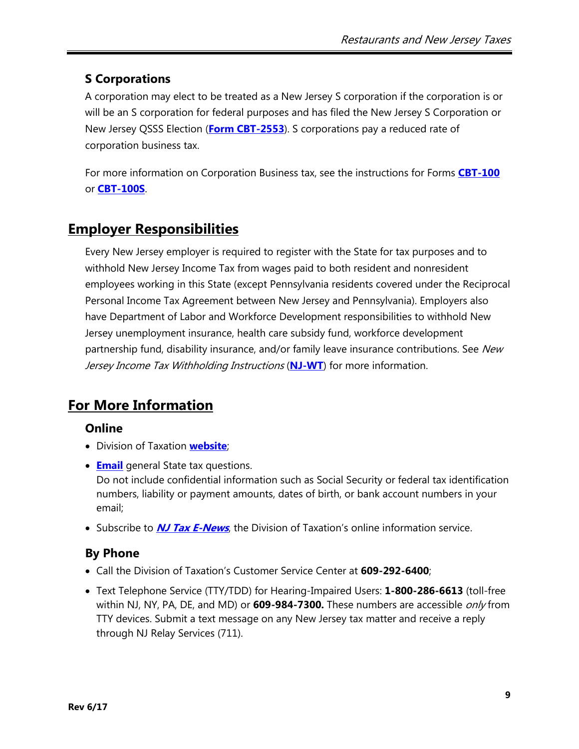## **S Corporations**

A corporation may elect to be treated as a New Jersey S corporation if the corporation is or will be an S corporation for federal purposes and has filed the New Jersey S Corporation or New Jersey QSSS Election (**[Form CBT-2553](http://www.state.nj.us/treasury/revenue/sub-s.pdf)**). S corporations pay a reduced rate of corporation business tax.

For more information on Corporation Business tax, see the instructions for Forms **[CBT-100](http://www.state.nj.us/treasury/taxation/pdf/current/cbt/cbt100ins.pdf)** or **[CBT-100S](http://www.state.nj.us/treasury/taxation/pdf/current/cbt/cbt100sins.pdf)**.

# **Employer Responsibilities**

Every New Jersey employer is required to register with the State for tax purposes and to withhold New Jersey Income Tax from wages paid to both resident and nonresident employees working in this State (except Pennsylvania residents covered under the Reciprocal Personal Income Tax Agreement between New Jersey and Pennsylvania). Employers also have Department of Labor and Workforce Development responsibilities to withhold New Jersey unemployment insurance, health care subsidy fund, workforce development partnership fund, disability insurance, and/or family leave insurance contributions. See New Jersey Income Tax Withholding Instructions (**[NJ-WT](http://www.state.nj.us/treasury/taxation/pdf/current/njwt.pdf)**) for more information.

# **For More Information**

### **Online**

- Division of Taxation **[website](http://www.njtaxation.org/)**;
- **[Email](https://www.state.nj.us/treas/taxation/contactus_tyttaxa.shtml)** general State tax questions. Do not include confidential information such as Social Security or federal tax identification numbers, liability or payment amounts, dates of birth, or bank account numbers in your email;
- **Subscribe to** *[NJ Tax E-News](http://www.state.nj.us/treasury/taxation/listservice.shtml)*, the Division of Taxation's online information service.

## **By Phone**

- Call the Division of Taxation's Customer Service Center at **609-292-6400**;
- Text Telephone Service (TTY/TDD) for Hearing-Impaired Users: **1-800-286-6613** (toll-free within NJ, NY, PA, DE, and MD) or **609-984-7300.** These numbers are accessible only from TTY devices. Submit a text message on any New Jersey tax matter and receive a reply through NJ Relay Services (711).